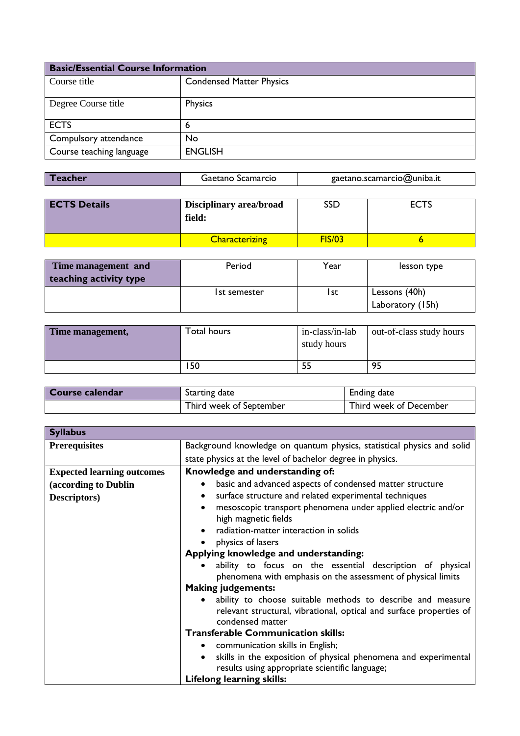| <b>Basic/Essential Course Information</b> |                                 |
|-------------------------------------------|---------------------------------|
| Course title                              | <b>Condensed Matter Physics</b> |
| Degree Course title                       | Physics                         |
| <b>ECTS</b>                               | 6                               |
| Compulsory attendance                     | No                              |
| Course teaching language                  | <b>ENGLISH</b>                  |

| Gaetano Scamarcio<br>Teacher | gaetano.scamarcio@uniba.it |
|------------------------------|----------------------------|
|------------------------------|----------------------------|

| <b>ECTS Details</b> | Disciplinary area/broad<br>field: | SSD    | ECTS |
|---------------------|-----------------------------------|--------|------|
|                     | <b>Characterizing</b>             | FIS/03 |      |

| Time management and    | Period              | Year | lesson type      |
|------------------------|---------------------|------|------------------|
| teaching activity type |                     |      |                  |
|                        | <b>Ist semester</b> | l st | Lessons (40h)    |
|                        |                     |      | Laboratory (15h) |

| Time management, | Total hours | in-class/in-lab<br>study hours | out-of-class study hours |
|------------------|-------------|--------------------------------|--------------------------|
|                  | 50 ا        |                                | 95                       |

| Course calendar | Starting date           | Ending date            |
|-----------------|-------------------------|------------------------|
|                 | Third week of September | Third week of December |

| <b>Syllabus</b>                   |                                                                                                                                                                    |  |
|-----------------------------------|--------------------------------------------------------------------------------------------------------------------------------------------------------------------|--|
| <b>Prerequisites</b>              | Background knowledge on quantum physics, statistical physics and solid                                                                                             |  |
|                                   | state physics at the level of bachelor degree in physics.                                                                                                          |  |
| <b>Expected learning outcomes</b> | Knowledge and understanding of:                                                                                                                                    |  |
| (according to Dublin              | basic and advanced aspects of condensed matter structure<br>$\bullet$                                                                                              |  |
| Descriptors)                      | surface structure and related experimental techniques<br>$\bullet$                                                                                                 |  |
|                                   | mesoscopic transport phenomena under applied electric and/or<br>$\bullet$<br>high magnetic fields                                                                  |  |
|                                   | radiation-matter interaction in solids<br>$\bullet$                                                                                                                |  |
|                                   | physics of lasers                                                                                                                                                  |  |
|                                   | Applying knowledge and understanding:                                                                                                                              |  |
|                                   | ability to focus on the essential description of physical<br>phenomena with emphasis on the assessment of physical limits                                          |  |
|                                   | <b>Making judgements:</b>                                                                                                                                          |  |
|                                   | ability to choose suitable methods to describe and measure<br>$\bullet$<br>relevant structural, vibrational, optical and surface properties of<br>condensed matter |  |
|                                   | <b>Transferable Communication skills:</b>                                                                                                                          |  |
|                                   | • communication skills in English;                                                                                                                                 |  |
|                                   | skills in the exposition of physical phenomena and experimental<br>$\bullet$                                                                                       |  |
|                                   | results using appropriate scientific language;                                                                                                                     |  |
|                                   | <b>Lifelong learning skills:</b>                                                                                                                                   |  |